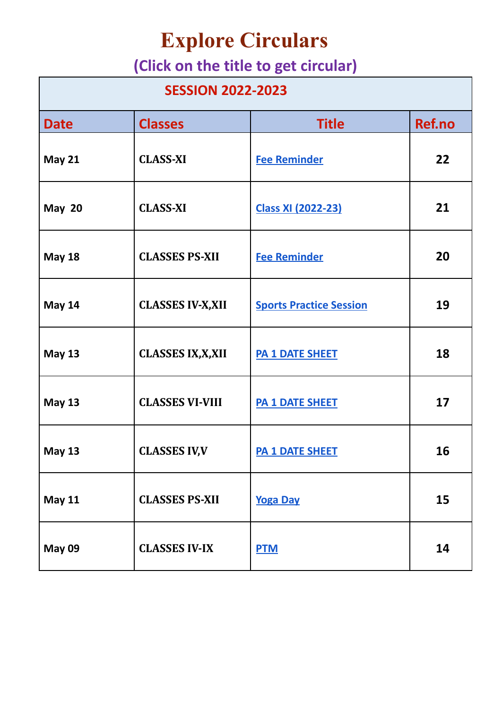## **Explore Circulars**

## **(Click on the title to get circular)**

| <b>SESSION 2022-2023</b> |                           |                                |        |
|--------------------------|---------------------------|--------------------------------|--------|
| <b>Date</b>              | <b>Classes</b>            | <b>Title</b>                   | Ref.no |
| <b>May 21</b>            | <b>CLASS-XI</b>           | <b>Fee Reminder</b>            | 22     |
| <b>May 20</b>            | <b>CLASS-XI</b>           | <b>Class XI (2022-23)</b>      | 21     |
| <b>May 18</b>            | <b>CLASSES PS-XII</b>     | <b>Fee Reminder</b>            | 20     |
| <b>May 14</b>            | <b>CLASSES IV-X, XII</b>  | <b>Sports Practice Session</b> | 19     |
| <b>May 13</b>            | <b>CLASSES IX, X, XII</b> | <b>PA 1 DATE SHEET</b>         | 18     |
| <b>May 13</b>            | <b>CLASSES VI-VIII</b>    | <b>PA 1 DATE SHEET</b>         | 17     |
| <b>May 13</b>            | <b>CLASSES IV, V</b>      | <b>PA 1 DATE SHEET</b>         | 16     |
| <b>May 11</b>            | <b>CLASSES PS-XII</b>     | <b>Yoga Day</b>                | 15     |
| <b>May 09</b>            | <b>CLASSES IV-IX</b>      | <b>PTM</b>                     | 14     |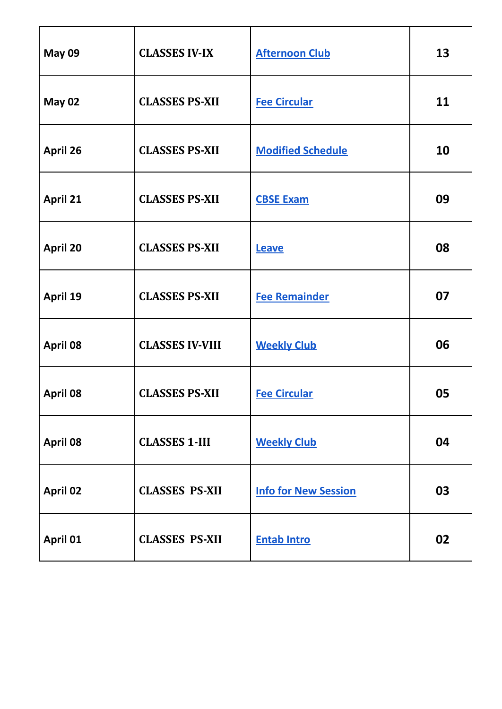| <b>May 09</b>   | <b>CLASSES IV-IX</b>   | <b>Afternoon Club</b>       | 13 |
|-----------------|------------------------|-----------------------------|----|
| <b>May 02</b>   | <b>CLASSES PS-XII</b>  | <b>Fee Circular</b>         | 11 |
| <b>April 26</b> | <b>CLASSES PS-XII</b>  | <b>Modified Schedule</b>    | 10 |
| <b>April 21</b> | <b>CLASSES PS-XII</b>  | <b>CBSE Exam</b>            | 09 |
| <b>April 20</b> | <b>CLASSES PS-XII</b>  | Leave                       | 08 |
| April 19        | <b>CLASSES PS-XII</b>  | <b>Fee Remainder</b>        | 07 |
| <b>April 08</b> | <b>CLASSES IV-VIII</b> | <b>Weekly Club</b>          | 06 |
| <b>April 08</b> | <b>CLASSES PS-XII</b>  | <b>Fee Circular</b>         | 05 |
| April 08        | <b>CLASSES 1-III</b>   | <b>Weekly Club</b>          | 04 |
| <b>April 02</b> | <b>CLASSES PS-XII</b>  | <b>Info for New Session</b> | 03 |
| April 01        | <b>CLASSES PS-XII</b>  | <b>Entab Intro</b>          | 02 |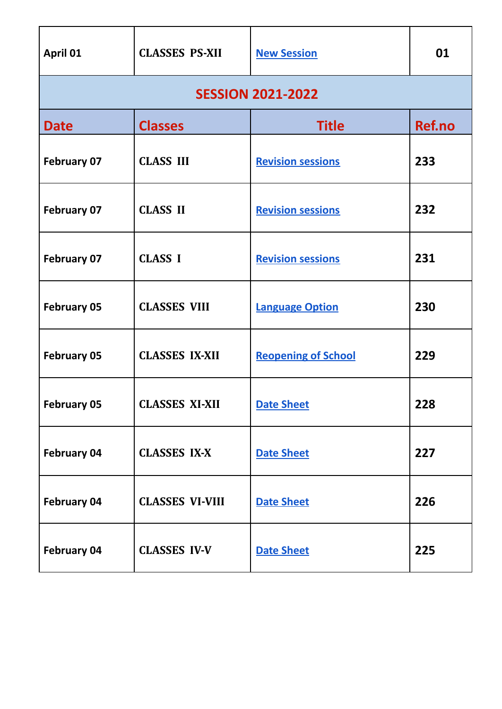| April 01           | <b>CLASSES PS-XII</b>  | <b>New Session</b>         | 01     |
|--------------------|------------------------|----------------------------|--------|
|                    |                        | <b>SESSION 2021-2022</b>   |        |
| <b>Date</b>        | <b>Classes</b>         | <b>Title</b>               | Ref.no |
| <b>February 07</b> | <b>CLASS III</b>       | <b>Revision sessions</b>   | 233    |
| <b>February 07</b> | <b>CLASS II</b>        | <b>Revision sessions</b>   | 232    |
| <b>February 07</b> | <b>CLASS I</b>         | <b>Revision sessions</b>   | 231    |
| <b>February 05</b> | <b>CLASSES VIII</b>    | <b>Language Option</b>     | 230    |
| <b>February 05</b> | <b>CLASSES IX-XII</b>  | <b>Reopening of School</b> | 229    |
| <b>February 05</b> | <b>CLASSES XI-XII</b>  | <b>Date Sheet</b>          | 228    |
| <b>February 04</b> | <b>CLASSES IX-X</b>    | <b>Date Sheet</b>          | 227    |
| February 04        | <b>CLASSES VI-VIII</b> | <b>Date Sheet</b>          | 226    |
| <b>February 04</b> | <b>CLASSES IV-V</b>    | <b>Date Sheet</b>          | 225    |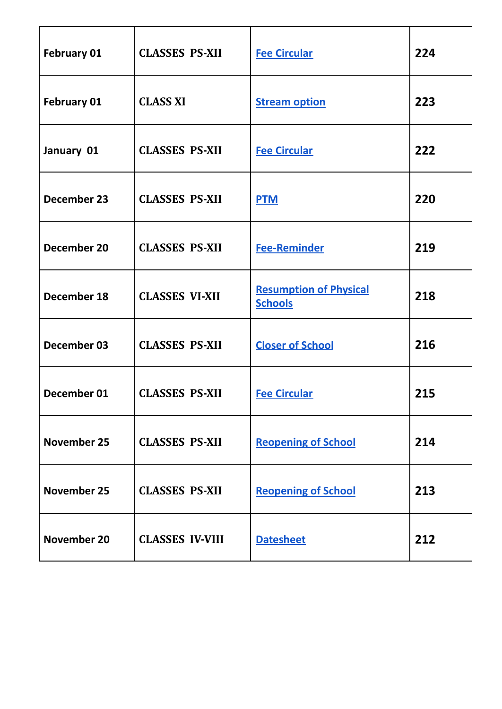| <b>February 01</b> | <b>CLASSES PS-XII</b>  | <b>Fee Circular</b>                             | 224 |
|--------------------|------------------------|-------------------------------------------------|-----|
| <b>February 01</b> | <b>CLASS XI</b>        | <b>Stream option</b>                            | 223 |
| January 01         | <b>CLASSES PS-XII</b>  | <b>Fee Circular</b>                             | 222 |
| December 23        | <b>CLASSES PS-XII</b>  | <b>PTM</b>                                      | 220 |
| December 20        | <b>CLASSES PS-XII</b>  | <b>Fee-Reminder</b>                             | 219 |
| December 18        | <b>CLASSES VI-XII</b>  | <b>Resumption of Physical</b><br><b>Schools</b> | 218 |
| December 03        | <b>CLASSES PS-XII</b>  | <b>Closer of School</b>                         | 216 |
| December 01        | <b>CLASSES PS-XII</b>  | <b>Fee Circular</b>                             | 215 |
| <b>November 25</b> | <b>CLASSES PS-XII</b>  | <b>Reopening of School</b>                      | 214 |
| <b>November 25</b> | <b>CLASSES PS-XII</b>  | <b>Reopening of School</b>                      | 213 |
| November 20        | <b>CLASSES IV-VIII</b> | <b>Datesheet</b>                                | 212 |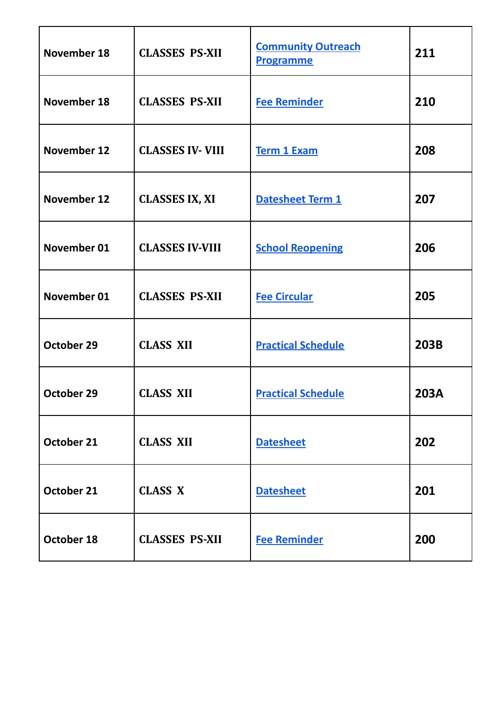| <b>November 18</b> | <b>CLASSES PS-XII</b>  | <b>Community Outreach</b><br><b>Programme</b> | 211         |
|--------------------|------------------------|-----------------------------------------------|-------------|
| <b>November 18</b> | <b>CLASSES PS-XII</b>  | <b>Fee Reminder</b>                           | 210         |
| November 12        | <b>CLASSES IV-VIII</b> | <b>Term 1 Exam</b>                            | 208         |
| November 12        | <b>CLASSES IX, XI</b>  | Datesheet Term 1                              | 207         |
| November 01        | <b>CLASSES IV-VIII</b> | <b>School Reopening</b>                       | 206         |
| November 01        | <b>CLASSES PS-XII</b>  | <b>Fee Circular</b>                           | 205         |
| October 29         | <b>CLASS XII</b>       | <b>Practical Schedule</b>                     | 203B        |
| October 29         | <b>CLASS XII</b>       | <b>Practical Schedule</b>                     | <b>203A</b> |
| October 21         | <b>CLASS XII</b>       | <b>Datesheet</b>                              | 202         |
| October 21         | <b>CLASS X</b>         | <b>Datesheet</b>                              | 201         |
| October 18         | <b>CLASSES PS-XII</b>  | <b>Fee Reminder</b>                           | 200         |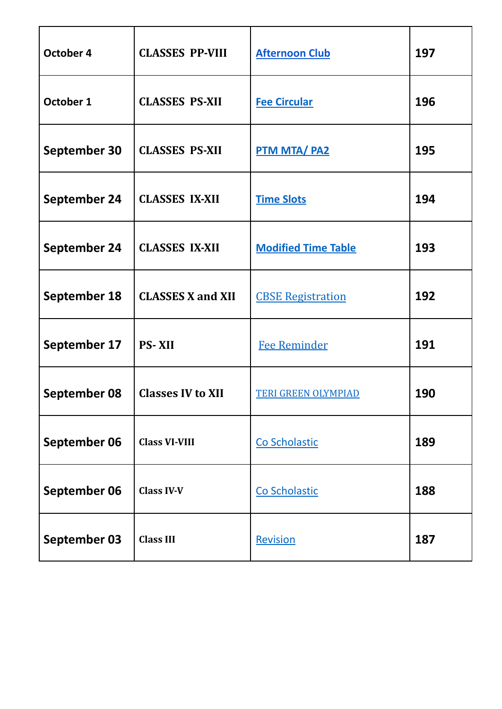| October 4           | <b>CLASSES PP-VIII</b>   | <b>Afternoon Club</b>      | 197 |
|---------------------|--------------------------|----------------------------|-----|
| October 1           | <b>CLASSES PS-XII</b>    | <b>Fee Circular</b>        | 196 |
| <b>September 30</b> | <b>CLASSES PS-XII</b>    | <b>PTM MTA/PA2</b>         | 195 |
| <b>September 24</b> | <b>CLASSES IX-XII</b>    | <b>Time Slots</b>          | 194 |
| <b>September 24</b> | <b>CLASSES IX-XII</b>    | <b>Modified Time Table</b> | 193 |
| September 18        | <b>CLASSES X and XII</b> | <b>CBSE Registration</b>   | 192 |
| September 17        | <b>PS-XII</b>            | <b>Fee Reminder</b>        | 191 |
| September 08        | <b>Classes IV to XII</b> | <b>TERI GREEN OLYMPIAD</b> | 190 |
| September 06        | <b>Class VI-VIII</b>     | Co Scholastic              | 189 |
| September 06        | <b>Class IV-V</b>        | Co Scholastic              | 188 |
| <b>September 03</b> | <b>Class III</b>         | Revision                   | 187 |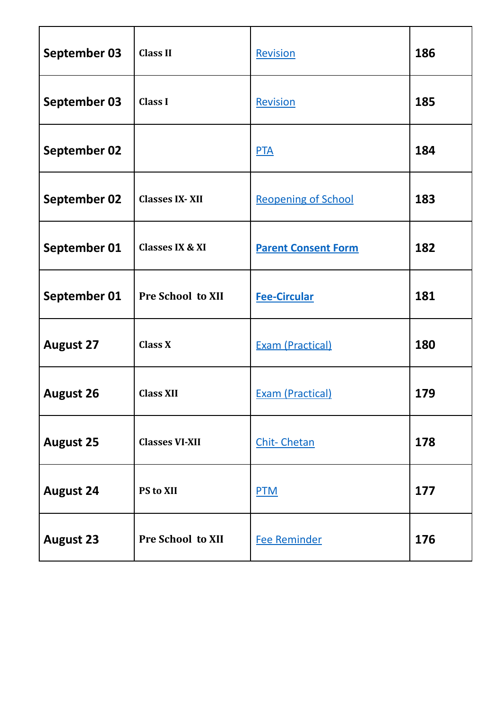| <b>September 03</b> | <b>Class II</b>            | Revision                   | 186 |
|---------------------|----------------------------|----------------------------|-----|
| September 03        | <b>Class I</b>             | Revision                   | 185 |
| <b>September 02</b> |                            | <b>PTA</b>                 | 184 |
| <b>September 02</b> | <b>Classes IX-XII</b>      | <b>Reopening of School</b> | 183 |
| September 01        | <b>Classes IX &amp; XI</b> | <b>Parent Consent Form</b> | 182 |
| September 01        | <b>Pre School to XII</b>   | <b>Fee-Circular</b>        | 181 |
| <b>August 27</b>    | <b>Class X</b>             | <b>Exam (Practical)</b>    | 180 |
| <b>August 26</b>    | <b>Class XII</b>           | <b>Exam (Practical)</b>    | 179 |
| <b>August 25</b>    | <b>Classes VI-XII</b>      | <b>Chit-Chetan</b>         | 178 |
| <b>August 24</b>    | PS to XII                  | <b>PTM</b>                 | 177 |
| <b>August 23</b>    | Pre School to XII          | <b>Fee Reminder</b>        | 176 |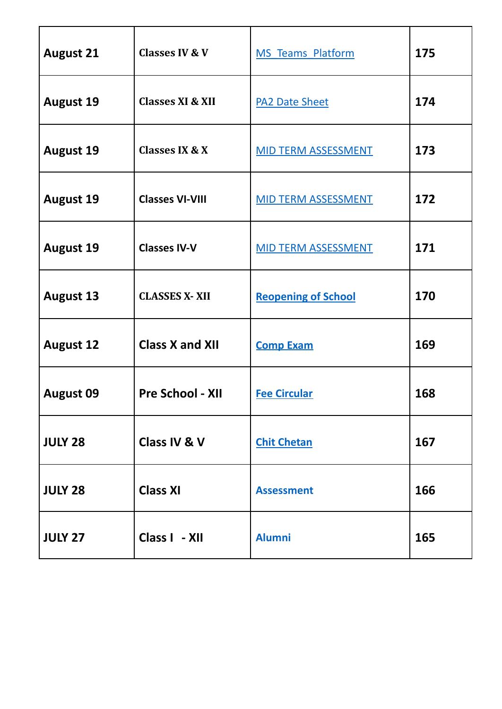| <b>August 21</b> | <b>Classes IV &amp; V</b>   | <b>MS Teams Platform</b>   | 175 |
|------------------|-----------------------------|----------------------------|-----|
| <b>August 19</b> | <b>Classes XI &amp; XII</b> | <b>PA2 Date Sheet</b>      | 174 |
| <b>August 19</b> | <b>Classes IX &amp; X</b>   | <b>MID TERM ASSESSMENT</b> | 173 |
| <b>August 19</b> | <b>Classes VI-VIII</b>      | <b>MID TERM ASSESSMENT</b> | 172 |
| <b>August 19</b> | <b>Classes IV-V</b>         | <b>MID TERM ASSESSMENT</b> | 171 |
| <b>August 13</b> | <b>CLASSES X-XII</b>        | <b>Reopening of School</b> | 170 |
| <b>August 12</b> | <b>Class X and XII</b>      | <b>Comp Exam</b>           | 169 |
| <b>August 09</b> | <b>Pre School - XII</b>     | <b>Fee Circular</b>        | 168 |
| <b>JULY 28</b>   | Class IV & V                | <b>Chit Chetan</b>         | 167 |
| <b>JULY 28</b>   | <b>Class XI</b>             | <b>Assessment</b>          | 166 |
| <b>JULY 27</b>   | Class I - XII               | <b>Alumni</b>              | 165 |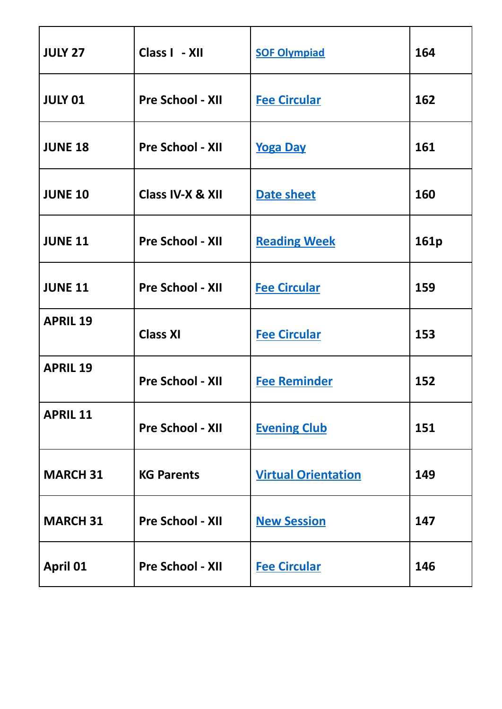| <b>JULY 27</b>  | Class I - XII           | <b>SOF Olympiad</b>        | 164  |
|-----------------|-------------------------|----------------------------|------|
| <b>JULY 01</b>  | <b>Pre School - XII</b> | <b>Fee Circular</b>        | 162  |
| <b>JUNE 18</b>  | <b>Pre School - XII</b> | <b>Yoga Day</b>            | 161  |
| <b>JUNE 10</b>  | Class IV-X & XII        | <b>Date sheet</b>          | 160  |
| <b>JUNE 11</b>  | <b>Pre School - XII</b> | <b>Reading Week</b>        | 161p |
| <b>JUNE 11</b>  | <b>Pre School - XII</b> | <b>Fee Circular</b>        | 159  |
| <b>APRIL 19</b> | <b>Class XI</b>         | <b>Fee Circular</b>        | 153  |
| <b>APRIL 19</b> | <b>Pre School - XII</b> | <b>Fee Reminder</b>        | 152  |
| <b>APRIL 11</b> | <b>Pre School - XII</b> | <b>Evening Club</b>        | 151  |
| <b>MARCH 31</b> | <b>KG Parents</b>       | <b>Virtual Orientation</b> | 149  |
| <b>MARCH 31</b> | <b>Pre School - XII</b> | <b>New Session</b>         | 147  |
| <b>April 01</b> | <b>Pre School - XII</b> | <b>Fee Circular</b>        | 146  |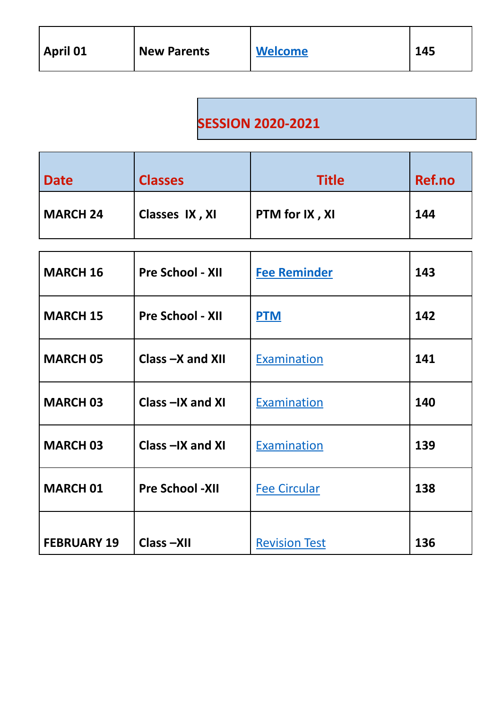## **SESSION 2020-2021**

| <b>Date</b>     | <b>Classes</b> | <b>Title</b>   | Ref.no |
|-----------------|----------------|----------------|--------|
| <b>MARCH 24</b> | Classes IX, XI | PTM for IX, XI | 144    |

| <b>MARCH 16</b>    | <b>Pre School - XII</b> | <b>Fee Reminder</b>  | 143 |
|--------------------|-------------------------|----------------------|-----|
| <b>MARCH 15</b>    | <b>Pre School - XII</b> | <b>PTM</b>           | 142 |
| <b>MARCH 05</b>    | Class $-X$ and XII      | Examination          | 141 |
| <b>MARCH 03</b>    | Class $-X$ and $XI$     | Examination          | 140 |
| <b>MARCH 03</b>    | Class-IX and XI         | Examination          | 139 |
| <b>MARCH 01</b>    | <b>Pre School -XII</b>  | <b>Fee Circular</b>  | 138 |
| <b>FEBRUARY 19</b> | Class-XII               | <b>Revision Test</b> | 136 |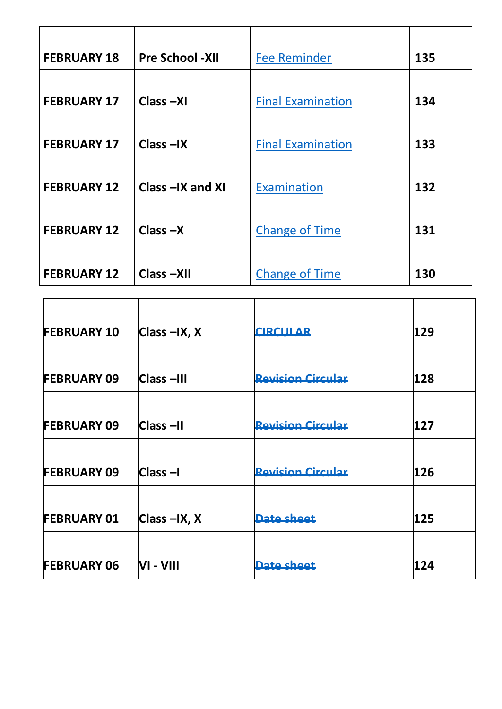| <b>FEBRUARY 18</b> | <b>Pre School -XII</b> | <b>Fee Reminder</b>      | 135 |
|--------------------|------------------------|--------------------------|-----|
| <b>FEBRUARY 17</b> | Class-XI               | <b>Final Examination</b> | 134 |
| <b>FEBRUARY 17</b> | $Class -IX$            | <b>Final Examination</b> | 133 |
| <b>FEBRUARY 12</b> | Class -IX and XI       | Examination              | 132 |
| <b>FEBRUARY 12</b> | $Class -X$             | <b>Change of Time</b>    | 131 |
| <b>FEBRUARY 12</b> | Class-XII              | <b>Change of Time</b>    | 130 |

| <b>FEBRUARY 10</b> | $ Class - IX, X $ | <b>CIRCULAR</b>          | 129 |
|--------------------|-------------------|--------------------------|-----|
|                    |                   |                          |     |
| <b>FEBRUARY 09</b> | Class-III         | <b>Revision Circular</b> | 128 |
|                    |                   |                          |     |
| <b>FEBRUARY 09</b> | Class –II         | <b>Revision Circular</b> | 127 |
|                    |                   |                          |     |
| <b>FEBRUARY 09</b> | <b>Class-I</b>    | <b>Revision Circular</b> | 126 |
|                    |                   |                          |     |
| <b>FEBRUARY 01</b> | $ Class - IX, X $ | Date sheet               | 125 |
|                    |                   |                          |     |
| <b>FEBRUARY 06</b> | VI - VIII         | Date sheet               | 124 |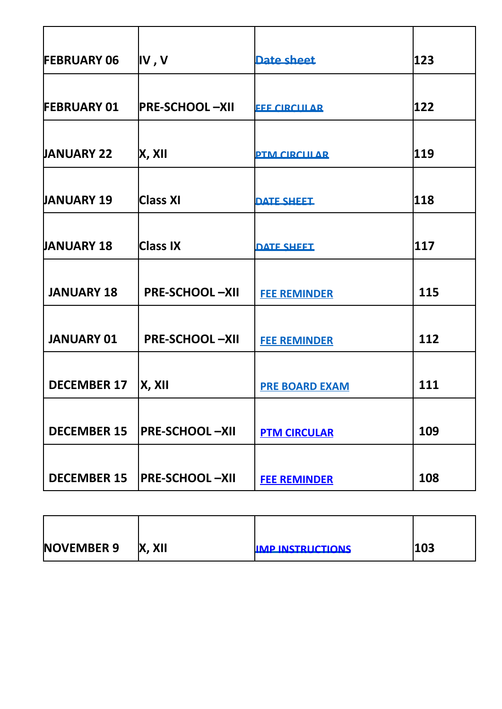| <b>FEBRUARY 06</b> | IV, V                 | Date sheet            | 123 |
|--------------------|-----------------------|-----------------------|-----|
|                    |                       |                       |     |
| <b>FEBRUARY 01</b> | <b>PRE-SCHOOL-XII</b> | <b>FEE CIRCULAR</b>   | 122 |
|                    |                       |                       |     |
| <b>JANUARY 22</b>  | X, XII                | <b>PTM CIRCULAR</b>   | 119 |
|                    |                       |                       |     |
| <b>JANUARY 19</b>  | <b>Class XI</b>       | <b>DATE SHEET</b>     | 118 |
|                    |                       |                       |     |
| <b>JANUARY 18</b>  | Class IX              | <b>DATE SHEET</b>     | 117 |
|                    |                       |                       |     |
| <b>JANUARY 18</b>  | <b>PRE-SCHOOL-XII</b> | <b>FEE REMINDER</b>   | 115 |
|                    |                       |                       |     |
| <b>JANUARY 01</b>  | <b>PRE-SCHOOL-XII</b> | <b>FEE REMINDER</b>   | 112 |
|                    |                       |                       |     |
| <b>DECEMBER 17</b> | X, X                  | <b>PRE BOARD EXAM</b> | 111 |
|                    |                       |                       |     |
| <b>DECEMBER 15</b> | <b>PRE-SCHOOL-XII</b> | <b>PTM CIRCULAR</b>   | 109 |
|                    |                       |                       |     |
| <b>DECEMBER 15</b> | <b>PRE-SCHOOL-XII</b> | <b>FEE REMINDER</b>   | 108 |

| <b>NOVEMBER 9</b> | X, XII | <b>IMP INSTRUCTIONS</b> | 103 |
|-------------------|--------|-------------------------|-----|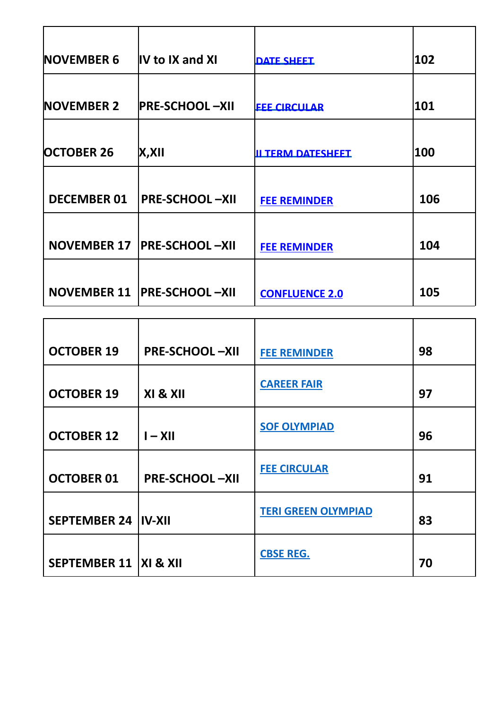| <b>NOVEMBER 6</b>  | IV to IX and XI               | <b>DATE SHEET</b>        | 102 |
|--------------------|-------------------------------|--------------------------|-----|
| <b>NOVEMBER 2</b>  | <b>PRE-SCHOOL-XII</b>         | <b>FEE CIRCULAR</b>      | 101 |
| <b>OCTOBER 26</b>  | X, XII                        | <b>IL TERM DATESHEET</b> | 100 |
| <b>DECEMBER 01</b> | <b>PRE-SCHOOL-XII</b>         | <b>FEE REMINDER</b>      | 106 |
| <b>NOVEMBER 17</b> | <b>PRE-SCHOOL-XII</b>         | <b>FEE REMINDER</b>      | 104 |
|                    | NOVEMBER 11   PRE-SCHOOL -XII | <b>CONFLUENCE 2.0</b>    | 105 |

| <b>OCTOBER 19</b>                  | <b>PRE-SCHOOL-XII</b> | <b>FEE REMINDER</b>        | 98 |
|------------------------------------|-----------------------|----------------------------|----|
| <b>OCTOBER 19</b>                  | XI & XII              | <b>CAREER FAIR</b>         | 97 |
| <b>OCTOBER 12</b>                  | $I - XII$             | <b>SOF OLYMPIAD</b>        | 96 |
| <b>OCTOBER 01</b>                  | <b>PRE-SCHOOL-XII</b> | <b>FEE CIRCULAR</b>        | 91 |
| <b>SEPTEMBER 24 IV-XII</b>         |                       | <b>TERI GREEN OLYMPIAD</b> | 83 |
| <b>SEPTEMBER 11   XI &amp; XII</b> |                       | <b>CBSE REG.</b>           | 70 |